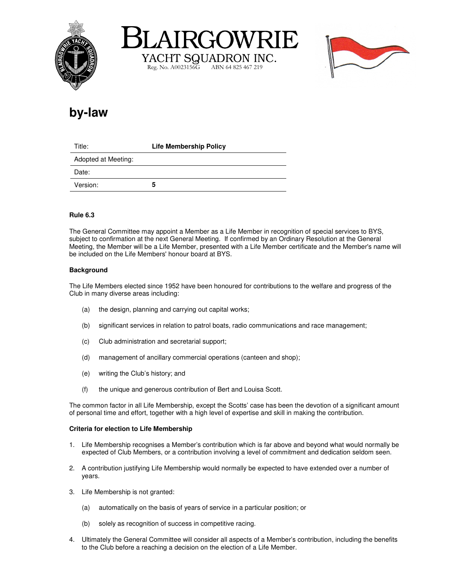





## **by-law**

| Title:              | <b>Life Membership Policy</b> |
|---------------------|-------------------------------|
| Adopted at Meeting: |                               |
| Date:               |                               |
| Version:            | 5                             |

### **Rule 6.3**

The General Committee may appoint a Member as a Life Member in recognition of special services to BYS, subject to confirmation at the next General Meeting. If confirmed by an Ordinary Resolution at the General Meeting, the Member will be a Life Member, presented with a Life Member certificate and the Member's name will be included on the Life Members' honour board at BYS.

#### **Background**

The Life Members elected since 1952 have been honoured for contributions to the welfare and progress of the Club in many diverse areas including:

- (a) the design, planning and carrying out capital works;
- (b) significant services in relation to patrol boats, radio communications and race management;
- (c) Club administration and secretarial support;
- (d) management of ancillary commercial operations (canteen and shop);
- (e) writing the Club's history; and
- (f) the unique and generous contribution of Bert and Louisa Scott.

The common factor in all Life Membership, except the Scotts' case has been the devotion of a significant amount of personal time and effort, together with a high level of expertise and skill in making the contribution.

#### **Criteria for election to Life Membership**

- 1. Life Membership recognises a Member's contribution which is far above and beyond what would normally be expected of Club Members, or a contribution involving a level of commitment and dedication seldom seen.
- 2. A contribution justifying Life Membership would normally be expected to have extended over a number of years.
- 3. Life Membership is not granted:
	- (a) automatically on the basis of years of service in a particular position; or
	- (b) solely as recognition of success in competitive racing.
- 4. Ultimately the General Committee will consider all aspects of a Member's contribution, including the benefits to the Club before a reaching a decision on the election of a Life Member.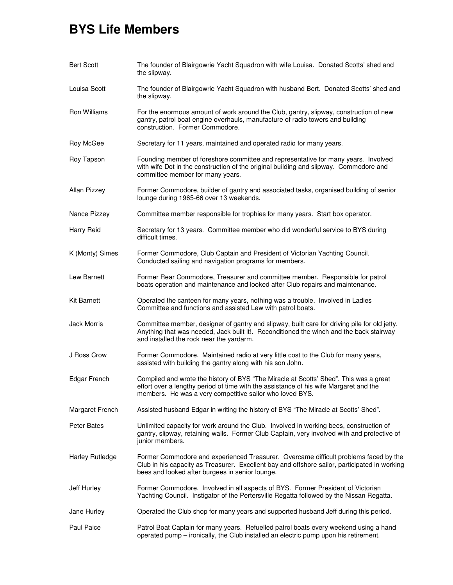# **BYS Life Members**

| <b>Bert Scott</b>  | The founder of Blairgowrie Yacht Squadron with wife Louisa. Donated Scotts' shed and<br>the slipway.                                                                                                                                       |
|--------------------|--------------------------------------------------------------------------------------------------------------------------------------------------------------------------------------------------------------------------------------------|
| Louisa Scott       | The founder of Blairgowrie Yacht Squadron with husband Bert. Donated Scotts' shed and<br>the slipway.                                                                                                                                      |
| Ron Williams       | For the enormous amount of work around the Club, gantry, slipway, construction of new<br>gantry, patrol boat engine overhauls, manufacture of radio towers and building<br>construction. Former Commodore.                                 |
| Roy McGee          | Secretary for 11 years, maintained and operated radio for many years.                                                                                                                                                                      |
| Roy Tapson         | Founding member of foreshore committee and representative for many years. Involved<br>with wife Dot in the construction of the original building and slipway. Commodore and<br>committee member for many years.                            |
| Allan Pizzey       | Former Commodore, builder of gantry and associated tasks, organised building of senior<br>lounge during 1965-66 over 13 weekends.                                                                                                          |
| Nance Pizzey       | Committee member responsible for trophies for many years. Start box operator.                                                                                                                                                              |
| Harry Reid         | Secretary for 13 years. Committee member who did wonderful service to BYS during<br>difficult times.                                                                                                                                       |
| K (Monty) Simes    | Former Commodore, Club Captain and President of Victorian Yachting Council.<br>Conducted sailing and navigation programs for members.                                                                                                      |
| Lew Barnett        | Former Rear Commodore, Treasurer and committee member. Responsible for patrol<br>boats operation and maintenance and looked after Club repairs and maintenance.                                                                            |
| <b>Kit Barnett</b> | Operated the canteen for many years, nothing was a trouble. Involved in Ladies<br>Committee and functions and assisted Lew with patrol boats.                                                                                              |
| Jack Morris        | Committee member, designer of gantry and slipway, built care for driving pile for old jetty.<br>Anything that was needed, Jack built it!. Reconditioned the winch and the back stairway<br>and installed the rock near the yardarm.        |
| J Ross Crow        | Former Commodore. Maintained radio at very little cost to the Club for many years,<br>assisted with building the gantry along with his son John.                                                                                           |
| Edgar French       | Compiled and wrote the history of BYS "The Miracle at Scotts' Shed". This was a great<br>effort over a lengthy period of time with the assistance of his wife Margaret and the<br>members. He was a very competitive sailor who loved BYS. |
| Margaret French    | Assisted husband Edgar in writing the history of BYS "The Miracle at Scotts' Shed".                                                                                                                                                        |
| Peter Bates        | Unlimited capacity for work around the Club. Involved in working bees, construction of<br>gantry, slipway, retaining walls. Former Club Captain, very involved with and protective of<br>junior members.                                   |
| Harley Rutledge    | Former Commodore and experienced Treasurer. Overcame difficult problems faced by the<br>Club in his capacity as Treasurer. Excellent bay and offshore sailor, participated in working<br>bees and looked after burgees in senior lounge.   |
| Jeff Hurley        | Former Commodore. Involved in all aspects of BYS. Former President of Victorian<br>Yachting Council. Instigator of the Pertersville Regatta followed by the Nissan Regatta.                                                                |
| Jane Hurley        | Operated the Club shop for many years and supported husband Jeff during this period.                                                                                                                                                       |
| Paul Paice         | Patrol Boat Captain for many years. Refuelled patrol boats every weekend using a hand<br>operated pump - ironically, the Club installed an electric pump upon his retirement.                                                              |